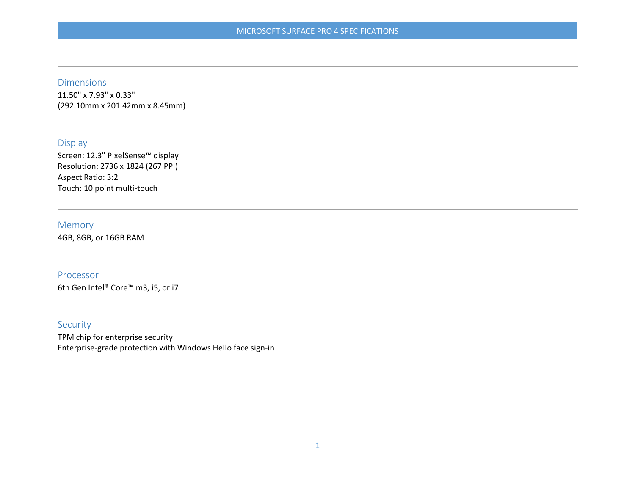### Dimensions

11.50" x 7.93" x 0.33" (292.10mm x 201.42mm x 8.45mm)

## Display

Screen: 12.3" PixelSense™ display Resolution: 2736 x 1824 (267 PPI) Aspect Ratio: 3:2 Touch: 10 point multi-touch

#### Memory

4GB, 8GB, or 16GB RAM

#### Processor

6th Gen Intel® Core™ m3, i5, or i7

## Security

TPM chip for enterprise security Enterprise-grade protection with Windows Hello face sign-in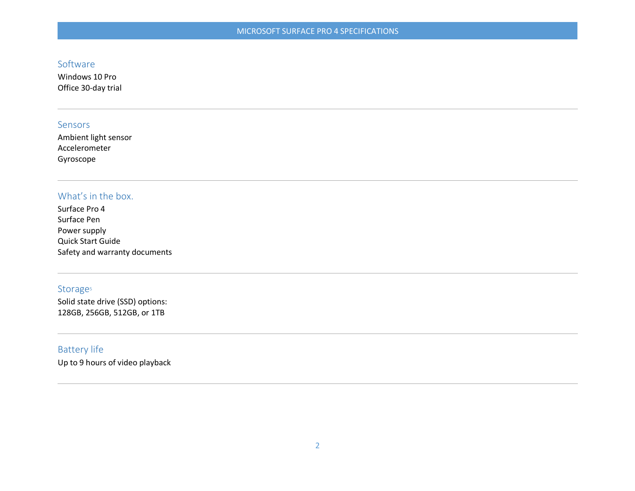# Software

Windows 10 Pro Office 30-day trial

## Sensors

Ambient light sensor Accelerometer Gyroscope

# What's in the box.

Surface Pro 4 Surface Pen Power supply Quick Start Guide Safety and warranty documents

### Storage<sup>5</sup>

Solid state drive (SSD) options: 128GB, 256GB, 512GB, or 1TB

# Battery life

Up to 9 hours of video playback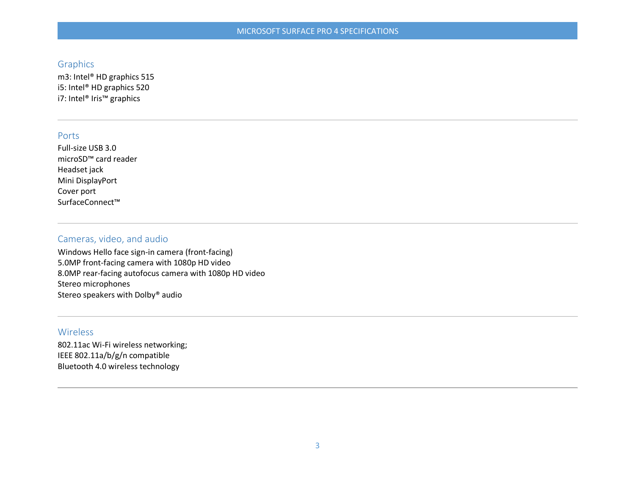## **Graphics**

m3: Intel® HD graphics 515 i5: Intel® HD graphics 520 i7: Intel® Iris™ graphics

#### Ports

Full-size USB 3.0 microSD™ card reader Headset jack Mini DisplayPort Cover port SurfaceConnect™

# Cameras, video, and audio

Windows Hello face sign-in camera (front-facing) 5.0MP front-facing camera with 1080p HD video 8.0MP rear-facing autofocus camera with 1080p HD video Stereo microphones Stereo speakers with Dolby® audio

## Wireless

802.11ac Wi-Fi wireless networking; IEEE 802.11a/b/g/n compatible Bluetooth 4.0 wireless technology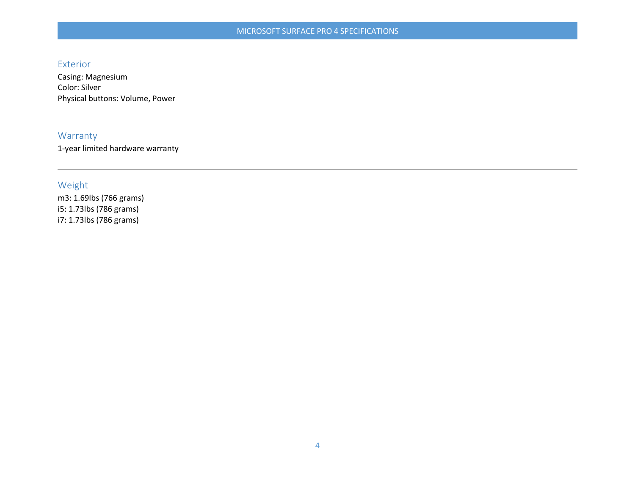### Exterior

Casing: Magnesium Color: Silver Physical buttons: Volume, Power

# Warranty

1-year limited hardware warranty

# Weight

m3: 1.69lbs (766 grams) i5: 1.73lbs (786 grams) i7: 1.73lbs (786 grams)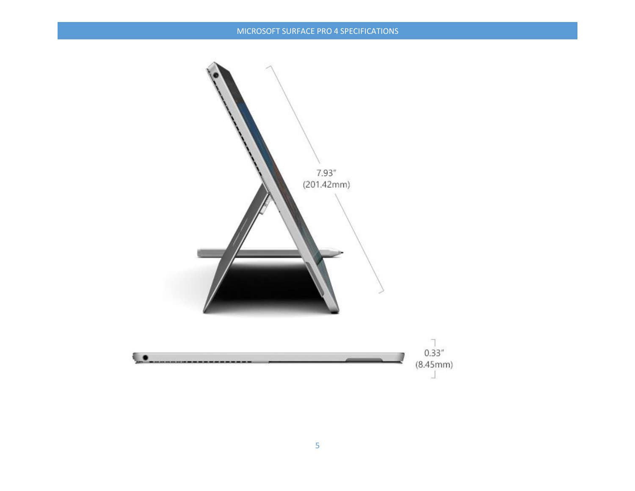## MICROSOFT SURFACE PRO 4 SPECIFICATIONS

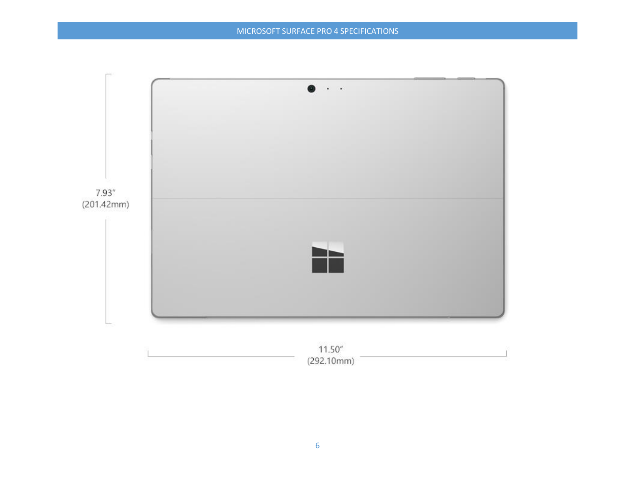

(292.10mm)